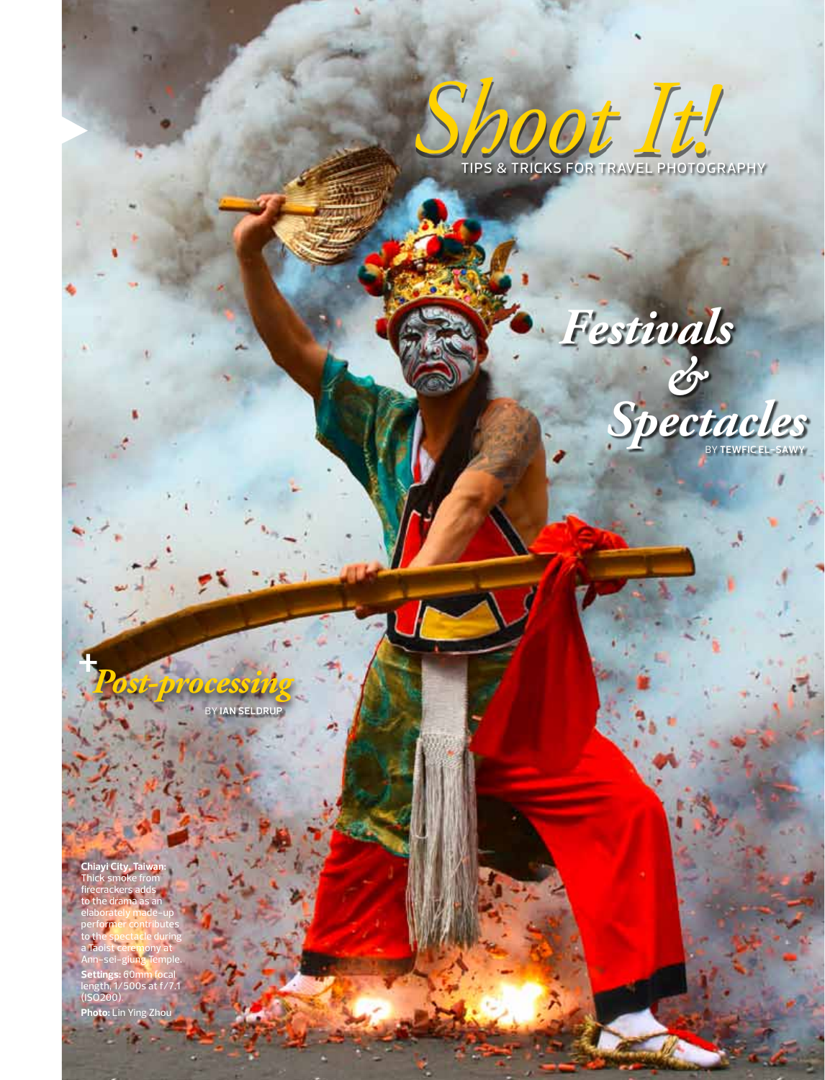

# *Festivals*



*Post-processing <sup>+</sup>* BY **Ian Seldrup**

**Chiayi City, Taiwan:**  Thick smoke from firecrackers adds to the drama as an elaborately made-up performer contributes to the spectacle during a Taoist ceremony at Ann-sei-giung Temple. **Settings:** 60mm focal length, 1/500s at f/7.1 (ISO200). **Photo:** Lin Ying Zhou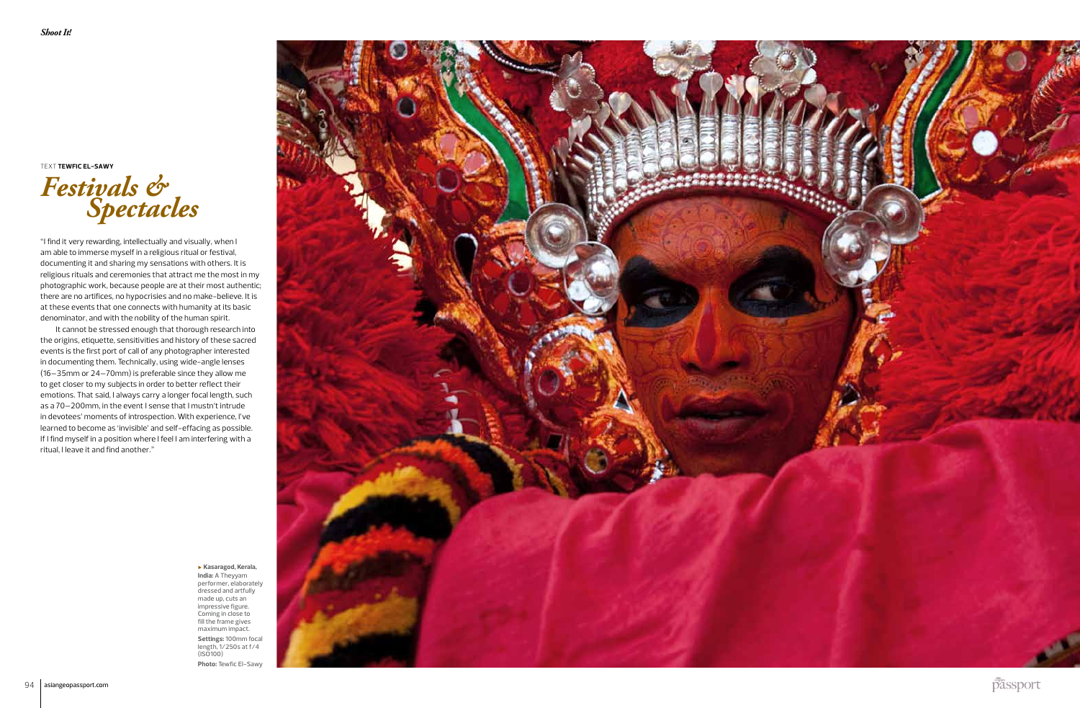## *Festivals & Spectacles*

"I find it very rewarding, intellectually and visually, when I am able to immerse myself in a religious ritual or festival, documenting it and sharing my sensations with others. It is religious rituals and ceremonies that attract me the most in my photographic work, because people are at their most authentic; there are no artifices, no hypocrisies and no make-believe. It is at these events that one connects with humanity at its basic denominator, and with the nobility of the human spirit.

It cannot be stressed enough that thorough research into the origins, etiquette, sensitivities and history of these sacred events is the first port of call of any photographer interested in documenting them. Technically, using wide-angle lenses (16–35mm or 24–70mm) is preferable since they allow me to get closer to my subjects in order to better reflect their emotions. That said, I always carry a longer focal length, such as a 70–200mm, in the event I sense that I mustn't intrude in devotees' moments of introspection. With experience, I've learned to become as 'invisible' and self-effacing as possible. If I find myself in a position where I feel I am interfering with a ritual, I leave it and find another."

Text **Tewfic El-Sawy**

▶ **Kasaragod, Kerala, India:** A Theyyam performer, elaborately dressed and artfully made up, cuts an impressive figure. Coming in close to fill the frame gives maximum impact. **Settings:** 100mm focal

length, 1/250s at f/4 (ISO100) **Photo:** Tewfic El-Sawy



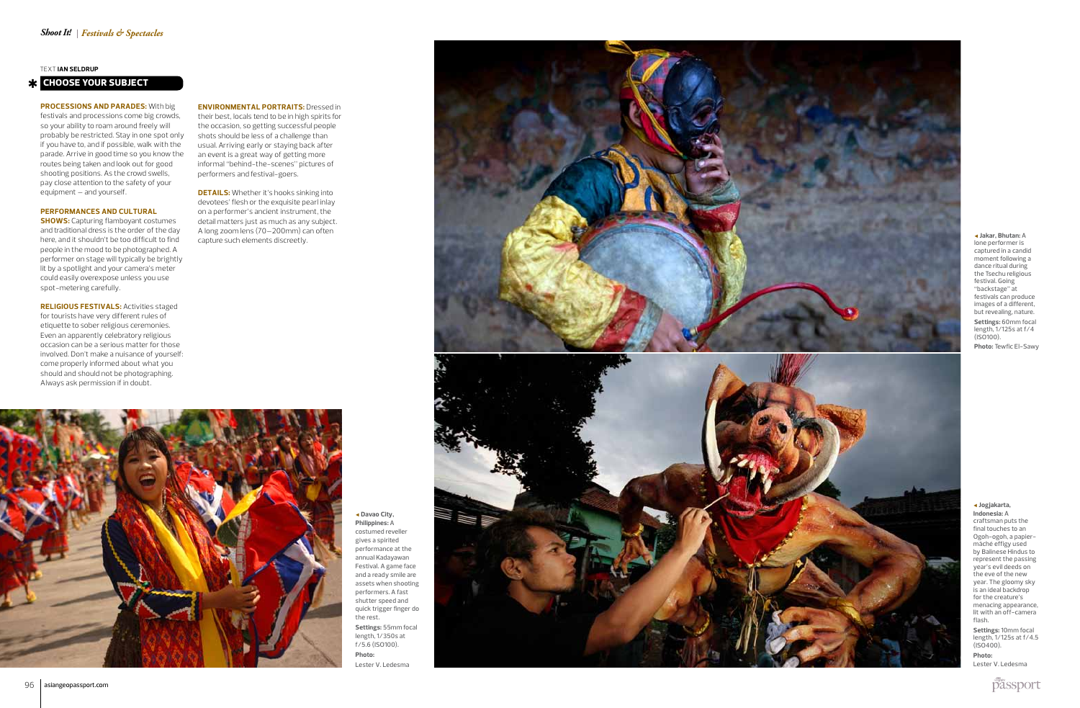#### **Pro c ession s and parade s:** With big

festivals and processions come big crowds, so your ability to roam around freely will probably be restricted. Stay in one spot only if you have to, and if possible, walk with the parade. Arrive in good time so you know the routes being taken and look out for good shooting positions. As the crowd swells, pay close attention to the safety of your equipment – and yourself.

#### **Performan c e s and cul tural**

**show s:** Capturing flamboyant costumes and traditional dress is the order of the day here, and it shouldn't be too difficult to find people in the mood to be photographed. A performer on stage will typically be brightly lit by a spotlight and your camera's meter could easily overexpose unless you use spot-metering carefully.

**Religious festivals :** Activities staged for tourists have very different rules of<br>etiquette to sober religious ceremonies. Even an apparently celebratory religious occasion can be a serious matter for those involved. Don't make a nuisance of yourself: come properly informed about what you should and should not be photographing. Always ask permission if in doubt.

◀ **Jakar, Bhutan:** A lone performer is captured in a candid moment following a dance ritual during the Tsechu religious festival. Going "backstage" at festivals can produce images of a different,

but revealing, nature. **Settings:** 60mm focal length, 1/125s at f/4 (ISO100).

**DETAILS:** Whether it's hooks sinking into devotees' flesh or the exquisite pearl inlay on a performer's ancient instrument, the detail matters just as much as any subject. A long zoom lens (70–200mm) can often capture such elements discreetly.



**Photo:** Tewfic El-Sawy

## ◀ **Jogjakarta, Indonesia:** <sup>A</sup>

craftsman puts the final touches to an Ogoh-ogoh, a papiermâché effigy used by Balinese Hindus to represent the passing year's evil deeds on the eve of the new year. The gloomy sky is an ideal backdrop for the creature's menacing appearance, lit with an off-camera flash.

**Settings:** 10mm focal length, 1/125s at f/4.5 (ISO400).

**Photo:** Lester V. Ledesma



#### **Choose your subje t** ✱ **c**

Tex t **Ian Seldru p**

◀ **Davao City, Philippines:** A costumed reveller gives a spirited performance at the Festival. A game face and a ready smile are assets when shooting performers. A fast shutter speed and quick trigger finger do the rest. **Settings:** 55mm focal length, 1/350s at f/5.6 (ISO100). **Photo:** Lester V. Ledesma



**Environmen tal por traits:** Dressed in their best, locals tend to be in high spirits for the occasion, so getting successful people shots should be less of a challenge than usual. Arriving early or staying back after an event is a great way of getting more informal "behind-the-scenes" pictures of performers and festival-goers.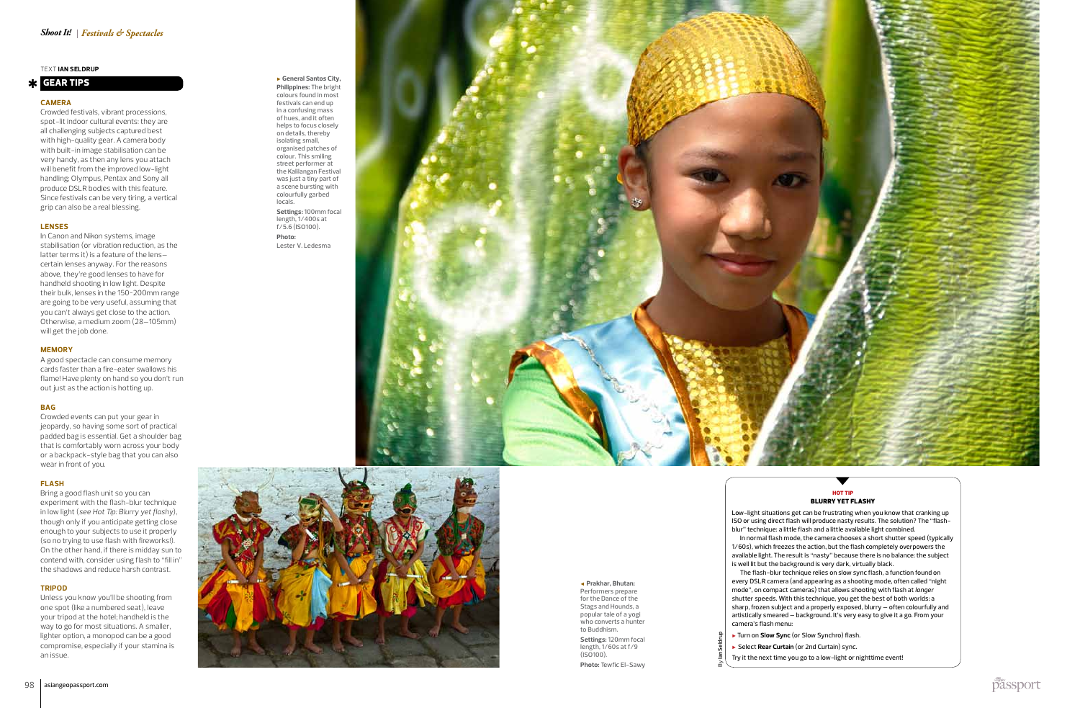#### ▶ **General Santos City, Philippines:** The bright colours found in most festivals can end up in a confusing mass of hues, and it often

helps to focus closely on details, thereby isolating small, organised patches of colour. This smiling street performer at the Kalilangan Festival was just a tiny part of a scene bursting with colourfully garbed locals. **Settings:** 100mm focal length, 1/400s at

f/5.6 (ISO100). **Photo:** Lester V. Ledesma





#### **Camera**

Crowded festivals, vibrant processions, spot-lit indoor cultural events: they are all challenging subjects captured best with high-quality gear. A camera body with built-in image stabilisation can be very handy, as then any lens you attach will benefit from the improved low-light handling; Olympus, Pentax and Sony all produce DSLR bodies with this feature. Since festivals can be very tiring, a vertical grip can also be a real blessing.

#### **Lenses**

In Canon and Nikon systems, image stabilisation (or vibration reduction, as the latter terms it) is a feature of the lens– certain lenses anyway. For the reasons above, they're good lenses to have for handheld shooting in low light. Despite their bulk, lenses in the 150~200mm range are going to be very useful, assuming that you can't always get close to the action. Otherwise, a medium zoom (28–105mm) will get the job done.

## HOT TIP BLURRY YET FLASHY

#### **Memory**

A good spectacle can consume memory cards faster than a fire-eater swallows his flame! Have plenty on hand so you don't run out just as the action is hotting up.

#### **Bag**

Crowded events can put your gear in jeopardy, so having some sort of practical padded bag is essential. Get a shoulder bag that is comfortably worn across your body or a backpack-style bag that you can also wear in front of you.

#### **Flash**

**Settings:** 120mm focal length, 1/60s at f/9  $(IS<sub>0</sub>100)$ .

Bring a good flash unit so you can experiment with the flash-blur technique in low light (*see Hot Tip: Blurry yet flashy*), though only if you anticipate getting close enough to your subjects to use it properly (so no trying to use flash with fireworks!). On the other hand, if there is midday sun to contend with, consider using flash to "fill in" the shadows and reduce harsh contrast.

#### **Tri pod**

Unless you know you'll be shooting from one spot (like a numbered seat), leave your tripod at the hotel; handheld is the way to go for most situations. A smaller, lighter option, a monopod can be a good compromise, especially if your stamina is an issue.

Tex t **Ian Seldru p**

## **x** GEAR TIPS

### h

Low-light situations get can be frustrating when you know that cranking up ISO or using direct flash will produce nasty results. The solution? The "flashblur" technique: a little flash and a little available light combined.

In normal flash mode, the camera chooses a short shutter speed (typically 1/60s), which freezes the action, but the flash completely overpowers the available light. The result is "nasty" because there is no balance: the subject is well lit but the background is very dark, virtually black.

The flash-blur technique relies on slow sync flash, a function found on every DSLR camera (and appearing as a shooting mode, often called "night mode", on compact cameras) that allows shooting with flash at *longer* shutter speeds. With this technique, you get the best of both worlds: a sharp, frozen subject and a properly exposed, blurry – often colourfully and artistically smeared – background. It's very easy to give it a go. From your camera's flash menu:

- ▶ Turn on **Slow Sync** (or Slow Synchro) flash.
- ▶ Select **Rear Curtain** (or 2nd Curtain) sync.

Try it the next time you go to a low-light or nighttime event!

By **Ian Seldrup**

◀ **Prakhar, Bhutan:**  Performers prepare for the Dance of the Stags and Hounds, a popular tale of a yogi who converts a hunter to Buddhism.

**Photo:** Tewfic El-Sawy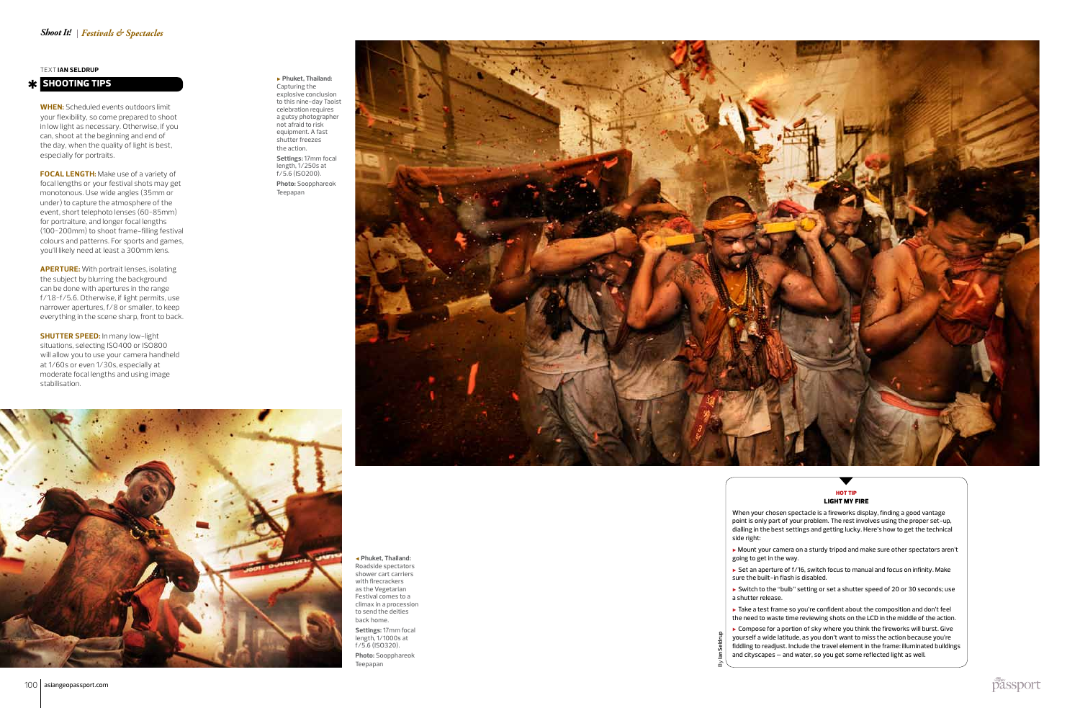**When:** Scheduled events outdoors limit your flexibility, so come prepared to shoot in low light as necessary. Otherwise, if you can, shoot at the beginning and end of the day, when the quality of light is best, especially for portraits.

**Focal length:** Make use of a variety of focal lengths or your festival shots may get monotonous. Use wide angles (35mm or under) to capture the atmosphere of the event, short telephoto lenses (60~85mm) for portraiture, and longer focal lengths (100~200mm) to shoot frame-filling festival colours and patterns. For sports and games, you'll likely need at least a 300mm lens.

**SHUTTER SPEED:** In many low-light situations, selecting ISO400 or ISO800 will allow you to use your camera handheld at 1/60s or even 1/30s, especially at moderate focal lengths and using image stabilisation.

**Aper ture:** With portrait lenses, isolating the subject by blurring the background can be done with apertures in the range f/1.8~f/5.6. Otherwise, if light permits, use narrower apertures, f/8 or smaller, to keep everything in the scene sharp, front to back.

Tex t **Ian Seldru p**

## **K** SHOOTING TIPS

#### ▶ **Phuket, Thailand:**  Capturing the explosive conclusion to this nine-day Taoist celebration requires a gutsy photographer not afraid to risk equipment. A fast shutter freezes the action. **Settings:** 17mm focal length, 1/250s at f/5.6 (ISO200). **Photo:** Soopphareok Teepapan

◀ **Phuket, Thailand:**  Roadside spectators shower cart carriers with firecrackers as the Vegetarian Festival comes to a climax in a procession to send the deities back home. **Settings:** 17mm focal length, 1/1000s at f/5.6 (ISO320). **Photo:** Soopphareok Teepapan





- 
- When your chosen spectacle is a fireworks display, finding a good vantage point is only part of your problem. The rest involves using the proper set-up, dialling in the best settings and getting lucky. Here's how to get the technical side right:
- ▶ Mount your camera on a sturdy tripod and make sure other spectators aren't going to get in the way.
- ▶ Set an aperture of f/16, switch focus to manual and focus on infinity. Make sure the built-in flash is disabled.
- ▶ Switch to the "bulb" setting or set a shutter speed of 20 or 30 seconds; use a shutter release.
- ▶ Take a test frame so you're confident about the composition and don't feel the need to waste time reviewing shots on the LCD in the middle of the action.
- $\blacktriangleright$  Compose for a portion of sky where you think the fireworks will burst. Give yourself a wide latitude, as you don't want to miss the action because you're fiddling to readjust. Include the travel element in the frame: illuminated buildings and cityscapes – and water, so you get some reflected light as well.

By **Ian Seldrup**